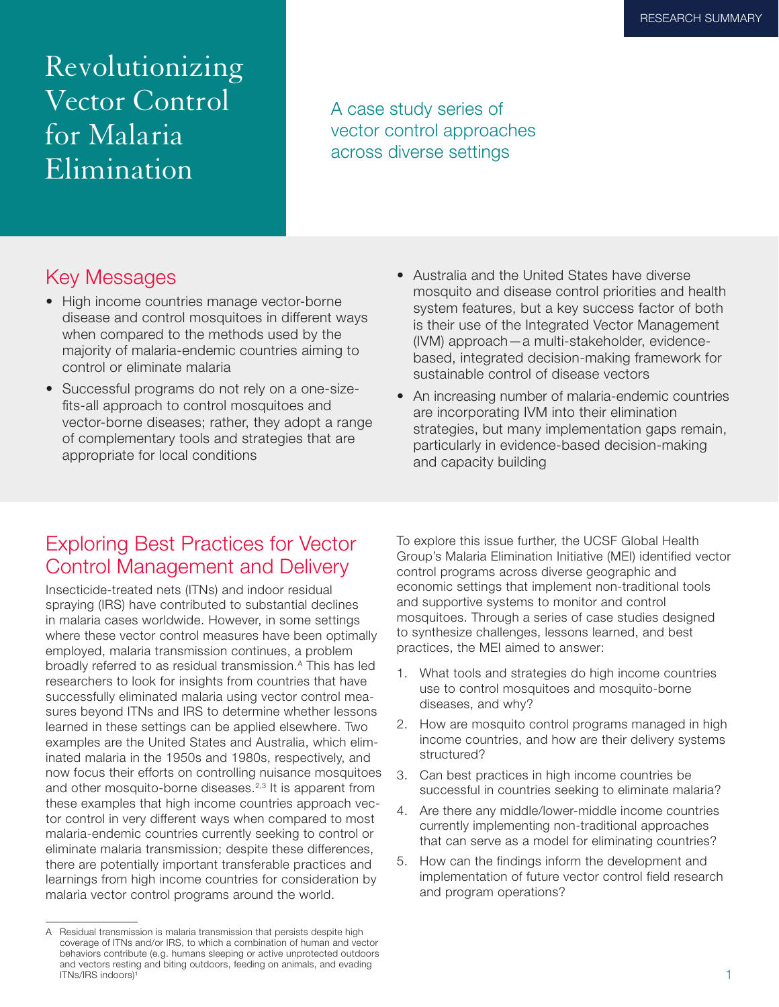Revolutionizing Vector Control for Malaria Elimination

A case study series of vector control approaches across diverse settings

### Key Messages

- High income countries manage vector-borne disease and control mosquitoes in different ways when compared to the methods used by the majority of malaria-endemic countries aiming to control or eliminate malaria
- Successful programs do not rely on a one-sizefits-all approach to control mosquitoes and vector-borne diseases; rather, they adopt a range of complementary tools and strategies that are appropriate for local conditions
- Australia and the United States have diverse mosquito and disease control priorities and health system features, but a key success factor of both is their use of the Integrated Vector Management (IVM) approach—a multi-stakeholder, evidencebased, integrated decision-making framework for sustainable control of disease vectors
- An increasing number of malaria-endemic countries are incorporating IVM into their elimination strategies, but many implementation gaps remain, particularly in evidence-based decision-making and capacity building

## Exploring Best Practices for Vector Control Management and Delivery

Insecticide-treated nets (ITNs) and indoor residual spraying (IRS) have contributed to substantial declines in malaria cases worldwide. However, in some settings where these vector control measures have been optimally employed, malaria transmission continues, a problem broadly referred to as residual transmission.<sup>A</sup> This has led researchers to look for insights from countries that have successfully eliminated malaria using vector control measures beyond ITNs and IRS to determine whether lessons learned in these settings can be applied elsewhere. Two examples are the United States and Australia, which eliminated malaria in the 1950s and 1980s, respectively, and now focus their efforts on controlling nuisance mosquitoes and other mosquito-borne diseases.<sup>2,3</sup> It is apparent from these examples that high income countries approach vector control in very different ways when compared to most malaria-endemic countries currently seeking to control or eliminate malaria transmission; despite these differences, there are potentially important transferable practices and learnings from high income countries for consideration by malaria vector control programs around the world.

To explore this issue further, the UCSF Global Health Group's Malaria Elimination Initiative (MEI) identified vector control programs across diverse geographic and economic settings that implement non-traditional tools and supportive systems to monitor and control mosquitoes. Through a series of case studies designed to synthesize challenges, lessons learned, and best practices, the MEI aimed to answer:

- 1. What tools and strategies do high income countries use to control mosquitoes and mosquito-borne diseases, and why?
- 2. How are mosquito control programs managed in high income countries, and how are their delivery systems structured?
- 3. Can best practices in high income countries be successful in countries seeking to eliminate malaria?
- 4. Are there any middle/lower-middle income countries currently implementing non-traditional approaches that can serve as a model for eliminating countries?
- 5. How can the findings inform the development and implementation of future vector control field research and program operations?

A Residual transmission is malaria transmission that persists despite high coverage of ITNs and/or IRS, to which a combination of human and vector behaviors contribute (e.g. humans sleeping or active unprotected outdoors and vectors resting and biting outdoors, feeding on animals, and evading ITNs/IRS indoors)1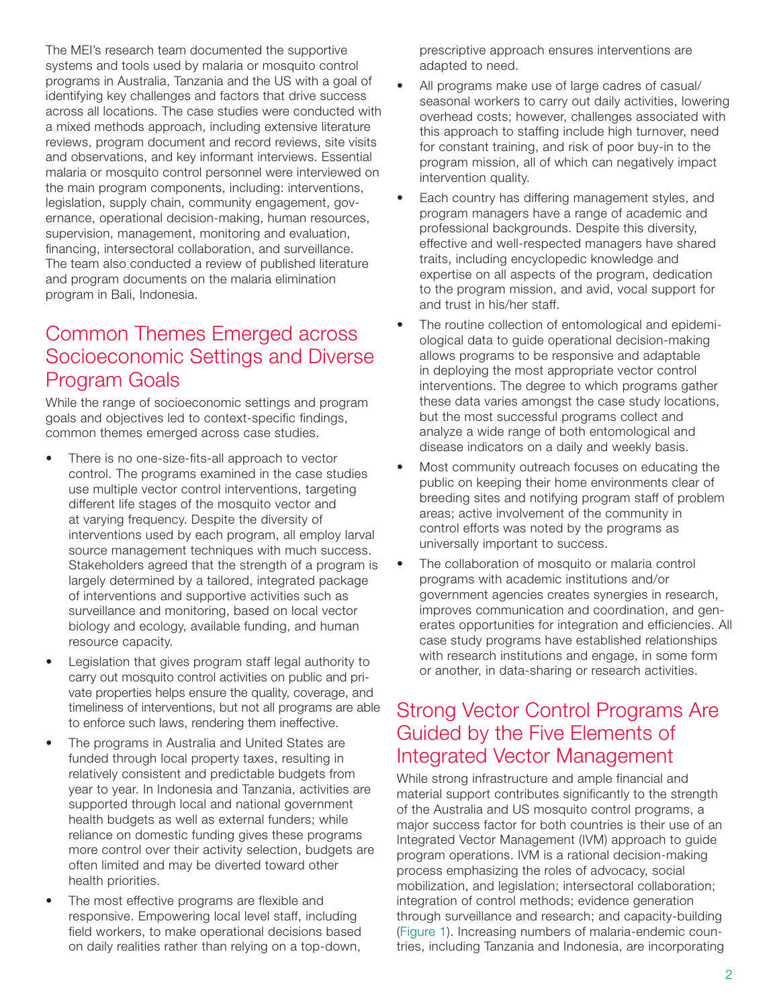The MEI's research team documented the supportive systems and tools used by malaria or mosquito control programs in Australia, Tanzania and the US with a goal of identifying key challenges and factors that drive success across all locations. The case studies were conducted with a mixed methods approach, including extensive literature reviews, program document and record reviews, site visits and observations, and key informant interviews. Essential malaria or mosquito control personnel were interviewed on the main program components, including: interventions, legislation, supply chain, community engagement, governance, operational decision-making, human resources, supervision, management, monitoring and evaluation, financing, intersectoral collaboration, and surveillance. The team also conducted a review of published literature and program documents on the malaria elimination program in Bali, Indonesia.

## Common Themes Emerged across Socioeconomic Settings and Diverse Program Goals

While the range of socioeconomic settings and program goals and objectives led to context-specific findings, common themes emerged across case studies.

- There is no one-size-fits-all approach to vector control. The programs examined in the case studies use multiple vector control interventions, targeting different life stages of the mosquito vector and at varying frequency. Despite the diversity of interventions used by each program, all employ larval source management techniques with much success. Stakeholders agreed that the strength of a program is largely determined by a tailored, integrated package of interventions and supportive activities such as surveillance and monitoring, based on local vector biology and ecology, available funding, and human resource capacity.
- Legislation that gives program staff legal authority to carry out mosquito control activities on public and private properties helps ensure the quality, coverage, and timeliness of interventions, but not all programs are able to enforce such laws, rendering them ineffective.
- The programs in Australia and United States are funded through local property taxes, resulting in relatively consistent and predictable budgets from year to year. In Indonesia and Tanzania, activities are supported through local and national government health budgets as well as external funders; while reliance on domestic funding gives these programs more control over their activity selection, budgets are often limited and may be diverted toward other health priorities.
- The most effective programs are flexible and responsive. Empowering local level staff, including field workers, to make operational decisions based on daily realities rather than relying on a top-down,

prescriptive approach ensures interventions are adapted to need.

- All programs make use of large cadres of casual/ seasonal workers to carry out daily activities, lowering overhead costs; however, challenges associated with this approach to staffing include high turnover, need for constant training, and risk of poor buy-in to the program mission, all of which can negatively impact intervention quality.
- Each country has differing management styles, and program managers have a range of academic and professional backgrounds. Despite this diversity, effective and well-respected managers have shared traits, including encyclopedic knowledge and expertise on all aspects of the program, dedication to the program mission, and avid, vocal support for and trust in his/her staff.
- The routine collection of entomological and epidemiological data to guide operational decision-making allows programs to be responsive and adaptable in deploying the most appropriate vector control interventions. The degree to which programs gather these data varies amongst the case study locations, but the most successful programs collect and analyze a wide range of both entomological and disease indicators on a daily and weekly basis.
- Most community outreach focuses on educating the public on keeping their home environments clear of breeding sites and notifying program staff of problem areas; active involvement of the community in control efforts was noted by the programs as universally important to success.
- The collaboration of mosquito or malaria control programs with academic institutions and/or government agencies creates synergies in research, improves communication and coordination, and generates opportunities for integration and efficiencies. All case study programs have established relationships with research institutions and engage, in some form or another, in data-sharing or research activities.

# Strong Vector Control Programs Are Guided by the Five Elements of Integrated Vector Management

While strong infrastructure and ample financial and material support contributes significantly to the strength of the Australia and US mosquito control programs, a major success factor for both countries is their use of an Integrated Vector Management (IVM) approach to guide program operations. IVM is a rational decision-making process emphasizing the roles of advocacy, social mobilization, and legislation; intersectoral collaboration; integration of control methods; evidence generation through surveillance and research; and capacity-building (Figure 1). Increasing numbers of malaria-endemic countries, including Tanzania and Indonesia, are incorporating